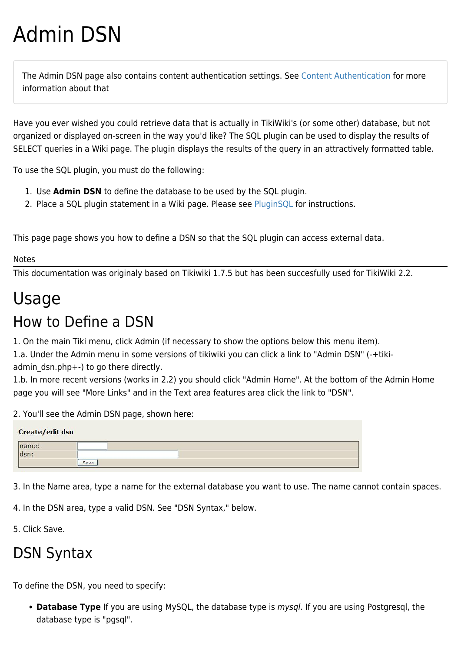# Admin DSN

The Admin DSN page also contains content authentication settings. See [Content Authentication](https://doc.tiki.org/Content-Authentication) for more information about that

Have you ever wished you could retrieve data that is actually in TikiWiki's (or some other) database, but not organized or displayed on-screen in the way you'd like? The SQL plugin can be used to display the results of SELECT queries in a Wiki page. The plugin displays the results of the query in an attractively formatted table.

To use the SQL plugin, you must do the following:

- 1. Use **Admin DSN** to define the database to be used by the SQL plugin.
- 2. Place a SQL plugin statement in a Wiki page. Please see [PluginSQL](https://doc.tiki.org/PluginSQL) for instructions.

This page page shows you how to define a DSN so that the SQL plugin can access external data.

#### Notes

This documentation was originaly based on Tikiwiki 1.7.5 but has been succesfully used for TikiWiki 2.2.

# Usage

## How to Define a DSN

1. On the main Tiki menu, click Admin (if necessary to show the options below this menu item).

1.a. Under the Admin menu in some versions of tikiwiki you can click a link to "Admin DSN" (-+tikiadmin dsn.php+-) to go there directly.

1.b. In more recent versions (works in 2.2) you should click "Admin Home". At the bottom of the Admin Home page you will see "More Links" and in the Text area features area click the link to "DSN".

2. You'll see the Admin DSN page, shown here:

| Create/edit dsn |      |  |
|-----------------|------|--|
| name:           |      |  |
|                 |      |  |
|                 | Save |  |

3. In the Name area, type a name for the external database you want to use. The name cannot contain spaces.

4. In the DSN area, type a valid DSN. See "DSN Syntax," below.

5. Click Save.

# DSN Syntax

To define the DSN, you need to specify:

**Database Type** If you are using MySQL, the database type is mysql. If you are using Postgresql, the database type is "pgsql".